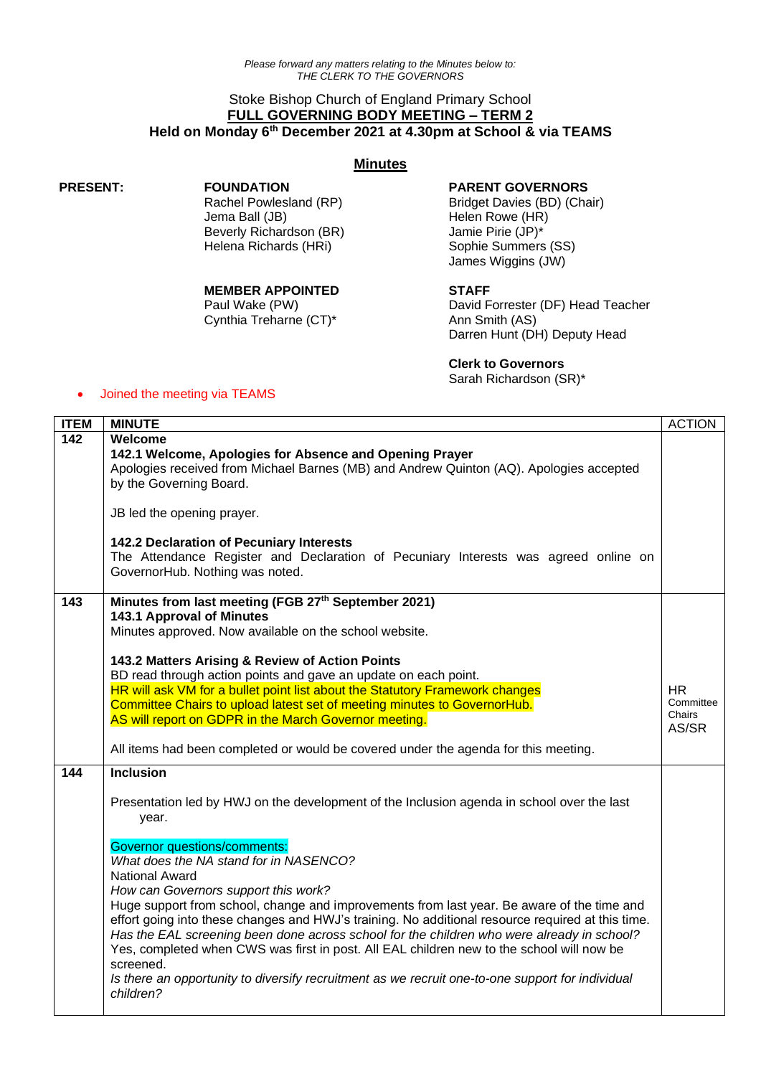# Stoke Bishop Church of England Primary School **FULL GOVERNING BODY MEETING – TERM 2 Held on Monday 6 th December 2021 at 4.30pm at School & via TEAMS**

# **Minutes**

#### **PRESENT: FOUNDATION**

Rachel Powlesland (RP) Jema Ball (JB) Beverly Richardson (BR) Helena Richards (HRi)

# **MEMBER APPOINTED**

Paul Wake (PW) Cynthia Treharne (CT)\*

# **PARENT GOVERNORS**

Bridget Davies (BD) (Chair) Helen Rowe (HR) Jamie Pirie (JP)\* Sophie Summers (SS) James Wiggins (JW)

# **STAFF**

David Forrester (DF) Head Teacher Ann Smith (AS) Darren Hunt (DH) Deputy Head

### **Clerk to Governors**

Sarah Richardson (SR)\*

### • Joined the meeting via TEAMS

| <b>ITEM</b> | <b>MINUTE</b>                                                                                                                                                                                                                                                                                                                                                                                                                                                                                                                                                                                                                                                              | <b>ACTION</b>                             |
|-------------|----------------------------------------------------------------------------------------------------------------------------------------------------------------------------------------------------------------------------------------------------------------------------------------------------------------------------------------------------------------------------------------------------------------------------------------------------------------------------------------------------------------------------------------------------------------------------------------------------------------------------------------------------------------------------|-------------------------------------------|
| 142         | Welcome<br>142.1 Welcome, Apologies for Absence and Opening Prayer<br>Apologies received from Michael Barnes (MB) and Andrew Quinton (AQ). Apologies accepted<br>by the Governing Board.<br>JB led the opening prayer.                                                                                                                                                                                                                                                                                                                                                                                                                                                     |                                           |
|             | 142.2 Declaration of Pecuniary Interests<br>The Attendance Register and Declaration of Pecuniary Interests was agreed online on<br>GovernorHub. Nothing was noted.                                                                                                                                                                                                                                                                                                                                                                                                                                                                                                         |                                           |
| 143         | Minutes from last meeting (FGB 27th September 2021)<br>143.1 Approval of Minutes<br>Minutes approved. Now available on the school website.                                                                                                                                                                                                                                                                                                                                                                                                                                                                                                                                 |                                           |
|             | 143.2 Matters Arising & Review of Action Points<br>BD read through action points and gave an update on each point.<br>HR will ask VM for a bullet point list about the Statutory Framework changes<br>Committee Chairs to upload latest set of meeting minutes to GovernorHub.<br>AS will report on GDPR in the March Governor meeting.<br>All items had been completed or would be covered under the agenda for this meeting.                                                                                                                                                                                                                                             | <b>HR</b><br>Committee<br>Chairs<br>AS/SR |
| 144         | <b>Inclusion</b>                                                                                                                                                                                                                                                                                                                                                                                                                                                                                                                                                                                                                                                           |                                           |
|             | Presentation led by HWJ on the development of the Inclusion agenda in school over the last<br>year.                                                                                                                                                                                                                                                                                                                                                                                                                                                                                                                                                                        |                                           |
|             | <b>Governor questions/comments:</b><br>What does the NA stand for in NASENCO?<br><b>National Award</b><br>How can Governors support this work?<br>Huge support from school, change and improvements from last year. Be aware of the time and<br>effort going into these changes and HWJ's training. No additional resource required at this time.<br>Has the EAL screening been done across school for the children who were already in school?<br>Yes, completed when CWS was first in post. All EAL children new to the school will now be<br>screened.<br>Is there an opportunity to diversify recruitment as we recruit one-to-one support for individual<br>children? |                                           |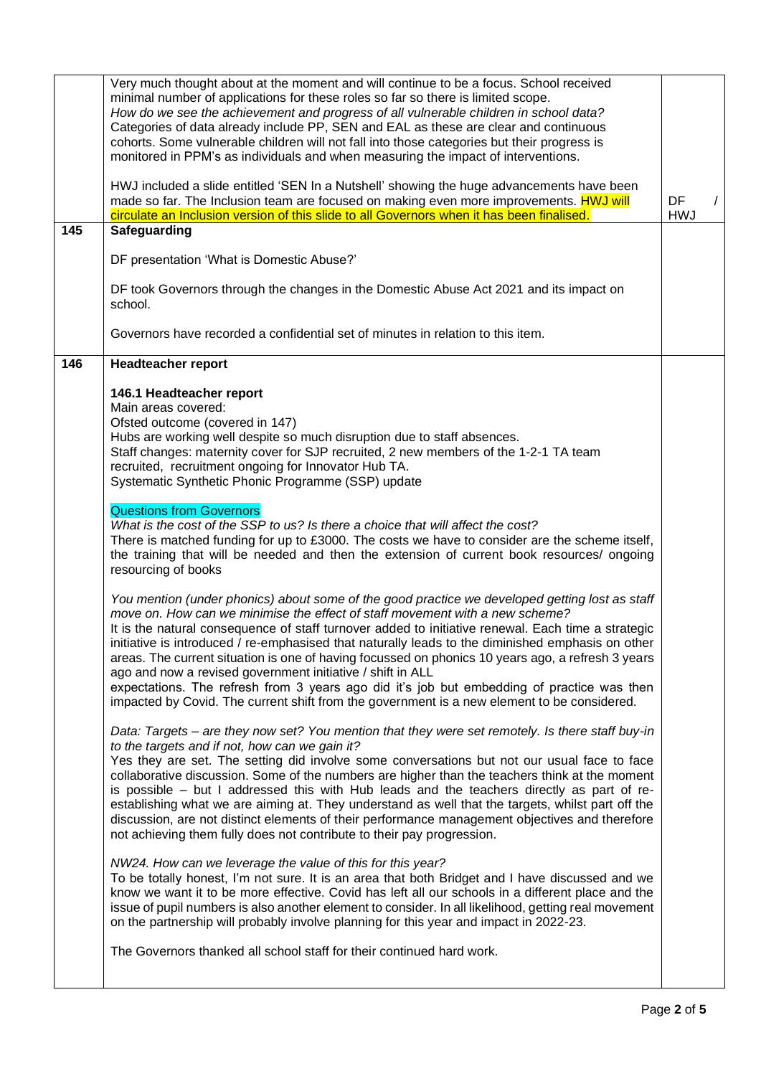|     | Very much thought about at the moment and will continue to be a focus. School received<br>minimal number of applications for these roles so far so there is limited scope.<br>How do we see the achievement and progress of all vulnerable children in school data?<br>Categories of data already include PP, SEN and EAL as these are clear and continuous<br>cohorts. Some vulnerable children will not fall into those categories but their progress is<br>monitored in PPM's as individuals and when measuring the impact of interventions.                                                                                                                                                                                                           |                  |  |
|-----|-----------------------------------------------------------------------------------------------------------------------------------------------------------------------------------------------------------------------------------------------------------------------------------------------------------------------------------------------------------------------------------------------------------------------------------------------------------------------------------------------------------------------------------------------------------------------------------------------------------------------------------------------------------------------------------------------------------------------------------------------------------|------------------|--|
|     | HWJ included a slide entitled 'SEN In a Nutshell' showing the huge advancements have been<br>made so far. The Inclusion team are focused on making even more improvements. HWJ will<br>circulate an Inclusion version of this slide to all Governors when it has been finalised.                                                                                                                                                                                                                                                                                                                                                                                                                                                                          | DF<br><b>HWJ</b> |  |
| 145 | Safeguarding                                                                                                                                                                                                                                                                                                                                                                                                                                                                                                                                                                                                                                                                                                                                              |                  |  |
|     | DF presentation 'What is Domestic Abuse?'                                                                                                                                                                                                                                                                                                                                                                                                                                                                                                                                                                                                                                                                                                                 |                  |  |
|     | DF took Governors through the changes in the Domestic Abuse Act 2021 and its impact on<br>school.                                                                                                                                                                                                                                                                                                                                                                                                                                                                                                                                                                                                                                                         |                  |  |
|     | Governors have recorded a confidential set of minutes in relation to this item.                                                                                                                                                                                                                                                                                                                                                                                                                                                                                                                                                                                                                                                                           |                  |  |
| 146 | <b>Headteacher report</b>                                                                                                                                                                                                                                                                                                                                                                                                                                                                                                                                                                                                                                                                                                                                 |                  |  |
|     | 146.1 Headteacher report<br>Main areas covered:<br>Ofsted outcome (covered in 147)<br>Hubs are working well despite so much disruption due to staff absences.<br>Staff changes: maternity cover for SJP recruited, 2 new members of the 1-2-1 TA team<br>recruited, recruitment ongoing for Innovator Hub TA.<br>Systematic Synthetic Phonic Programme (SSP) update                                                                                                                                                                                                                                                                                                                                                                                       |                  |  |
|     | <b>Questions from Governors</b><br>What is the cost of the SSP to us? Is there a choice that will affect the cost?<br>There is matched funding for up to £3000. The costs we have to consider are the scheme itself,<br>the training that will be needed and then the extension of current book resources/ ongoing<br>resourcing of books                                                                                                                                                                                                                                                                                                                                                                                                                 |                  |  |
|     | You mention (under phonics) about some of the good practice we developed getting lost as staff<br>move on. How can we minimise the effect of staff movement with a new scheme?<br>It is the natural consequence of staff turnover added to initiative renewal. Each time a strategic<br>initiative is introduced / re-emphasised that naturally leads to the diminished emphasis on other<br>areas. The current situation is one of having focussed on phonics 10 years ago, a refresh 3 years<br>ago and now a revised government initiative / shift in ALL<br>expectations. The refresh from 3 years ago did it's job but embedding of practice was then<br>impacted by Covid. The current shift from the government is a new element to be considered. |                  |  |
|     | Data: Targets – are they now set? You mention that they were set remotely. Is there staff buy-in<br>to the targets and if not, how can we gain it?<br>Yes they are set. The setting did involve some conversations but not our usual face to face<br>collaborative discussion. Some of the numbers are higher than the teachers think at the moment<br>is possible – but I addressed this with Hub leads and the teachers directly as part of re-<br>establishing what we are aiming at. They understand as well that the targets, whilst part off the<br>discussion, are not distinct elements of their performance management objectives and therefore<br>not achieving them fully does not contribute to their pay progression.                        |                  |  |
|     | NW24. How can we leverage the value of this for this year?<br>To be totally honest, I'm not sure. It is an area that both Bridget and I have discussed and we<br>know we want it to be more effective. Covid has left all our schools in a different place and the<br>issue of pupil numbers is also another element to consider. In all likelihood, getting real movement<br>on the partnership will probably involve planning for this year and impact in 2022-23.                                                                                                                                                                                                                                                                                      |                  |  |
|     | The Governors thanked all school staff for their continued hard work.                                                                                                                                                                                                                                                                                                                                                                                                                                                                                                                                                                                                                                                                                     |                  |  |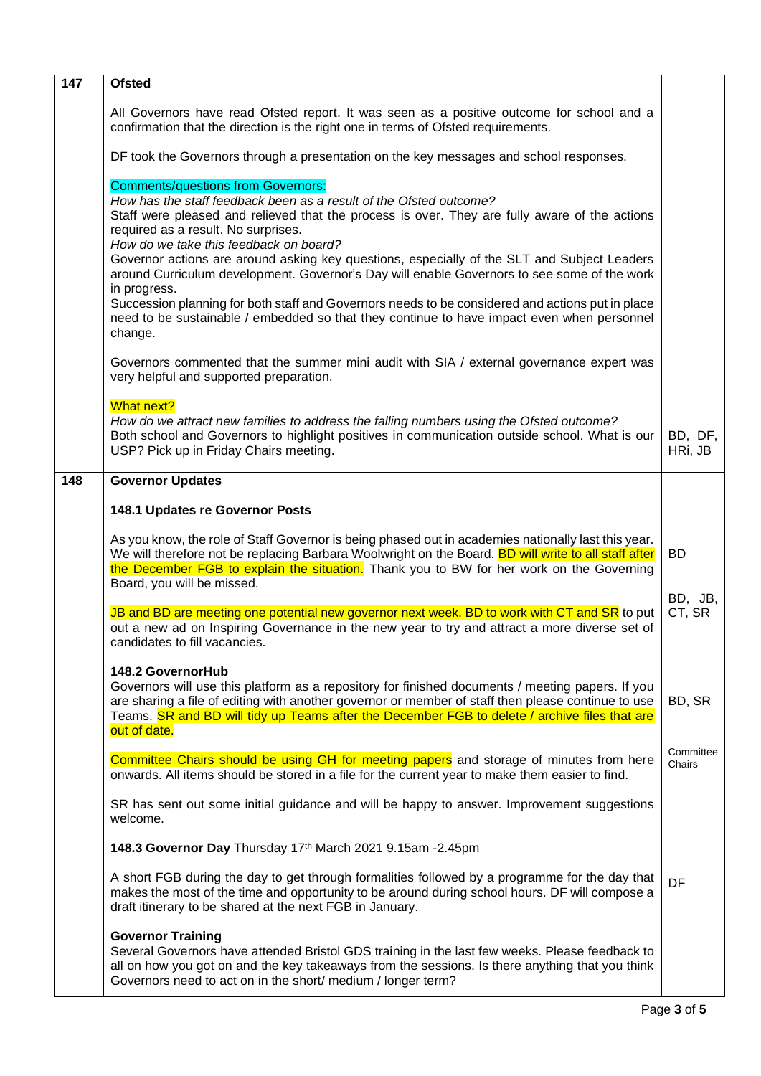| 147 | <b>Ofsted</b>                                                                                                                                                                                                                                                                                                                                                                                                                                                                                                                                                                                                                                                                                                     |                     |
|-----|-------------------------------------------------------------------------------------------------------------------------------------------------------------------------------------------------------------------------------------------------------------------------------------------------------------------------------------------------------------------------------------------------------------------------------------------------------------------------------------------------------------------------------------------------------------------------------------------------------------------------------------------------------------------------------------------------------------------|---------------------|
|     | All Governors have read Ofsted report. It was seen as a positive outcome for school and a<br>confirmation that the direction is the right one in terms of Ofsted requirements.                                                                                                                                                                                                                                                                                                                                                                                                                                                                                                                                    |                     |
|     | DF took the Governors through a presentation on the key messages and school responses.                                                                                                                                                                                                                                                                                                                                                                                                                                                                                                                                                                                                                            |                     |
|     | <b>Comments/questions from Governors:</b><br>How has the staff feedback been as a result of the Ofsted outcome?<br>Staff were pleased and relieved that the process is over. They are fully aware of the actions<br>required as a result. No surprises.<br>How do we take this feedback on board?<br>Governor actions are around asking key questions, especially of the SLT and Subject Leaders<br>around Curriculum development. Governor's Day will enable Governors to see some of the work<br>in progress.<br>Succession planning for both staff and Governors needs to be considered and actions put in place<br>need to be sustainable / embedded so that they continue to have impact even when personnel |                     |
|     | change.                                                                                                                                                                                                                                                                                                                                                                                                                                                                                                                                                                                                                                                                                                           |                     |
|     | Governors commented that the summer mini audit with SIA / external governance expert was<br>very helpful and supported preparation.                                                                                                                                                                                                                                                                                                                                                                                                                                                                                                                                                                               |                     |
|     | What next?<br>How do we attract new families to address the falling numbers using the Ofsted outcome?<br>Both school and Governors to highlight positives in communication outside school. What is our<br>USP? Pick up in Friday Chairs meeting.                                                                                                                                                                                                                                                                                                                                                                                                                                                                  | BD, DF,<br>HRi, JB  |
| 148 | <b>Governor Updates</b>                                                                                                                                                                                                                                                                                                                                                                                                                                                                                                                                                                                                                                                                                           |                     |
|     | 148.1 Updates re Governor Posts                                                                                                                                                                                                                                                                                                                                                                                                                                                                                                                                                                                                                                                                                   |                     |
|     | As you know, the role of Staff Governor is being phased out in academies nationally last this year.<br>We will therefore not be replacing Barbara Woolwright on the Board. BD will write to all staff after<br>the December FGB to explain the situation. Thank you to BW for her work on the Governing<br>Board, you will be missed.                                                                                                                                                                                                                                                                                                                                                                             | BD.                 |
|     | JB and BD are meeting one potential new governor next week. BD to work with CT and SR to put<br>out a new ad on Inspiring Governance in the new year to try and attract a more diverse set of<br>candidates to fill vacancies.                                                                                                                                                                                                                                                                                                                                                                                                                                                                                    | BD, JB,<br>CT, SR   |
|     | 148.2 GovernorHub<br>Governors will use this platform as a repository for finished documents / meeting papers. If you<br>are sharing a file of editing with another governor or member of staff then please continue to use<br>Teams. SR and BD will tidy up Teams after the December FGB to delete / archive files that are<br>out of date.                                                                                                                                                                                                                                                                                                                                                                      | BD, SR              |
|     | Committee Chairs should be using GH for meeting papers and storage of minutes from here<br>onwards. All items should be stored in a file for the current year to make them easier to find.                                                                                                                                                                                                                                                                                                                                                                                                                                                                                                                        | Committee<br>Chairs |
|     | SR has sent out some initial guidance and will be happy to answer. Improvement suggestions<br>welcome.                                                                                                                                                                                                                                                                                                                                                                                                                                                                                                                                                                                                            |                     |
|     | 148.3 Governor Day Thursday 17th March 2021 9.15am -2.45pm                                                                                                                                                                                                                                                                                                                                                                                                                                                                                                                                                                                                                                                        |                     |
|     | A short FGB during the day to get through formalities followed by a programme for the day that<br>makes the most of the time and opportunity to be around during school hours. DF will compose a<br>draft itinerary to be shared at the next FGB in January.                                                                                                                                                                                                                                                                                                                                                                                                                                                      | DF                  |
|     | <b>Governor Training</b><br>Several Governors have attended Bristol GDS training in the last few weeks. Please feedback to<br>all on how you got on and the key takeaways from the sessions. Is there anything that you think<br>Governors need to act on in the short/ medium / longer term?                                                                                                                                                                                                                                                                                                                                                                                                                     |                     |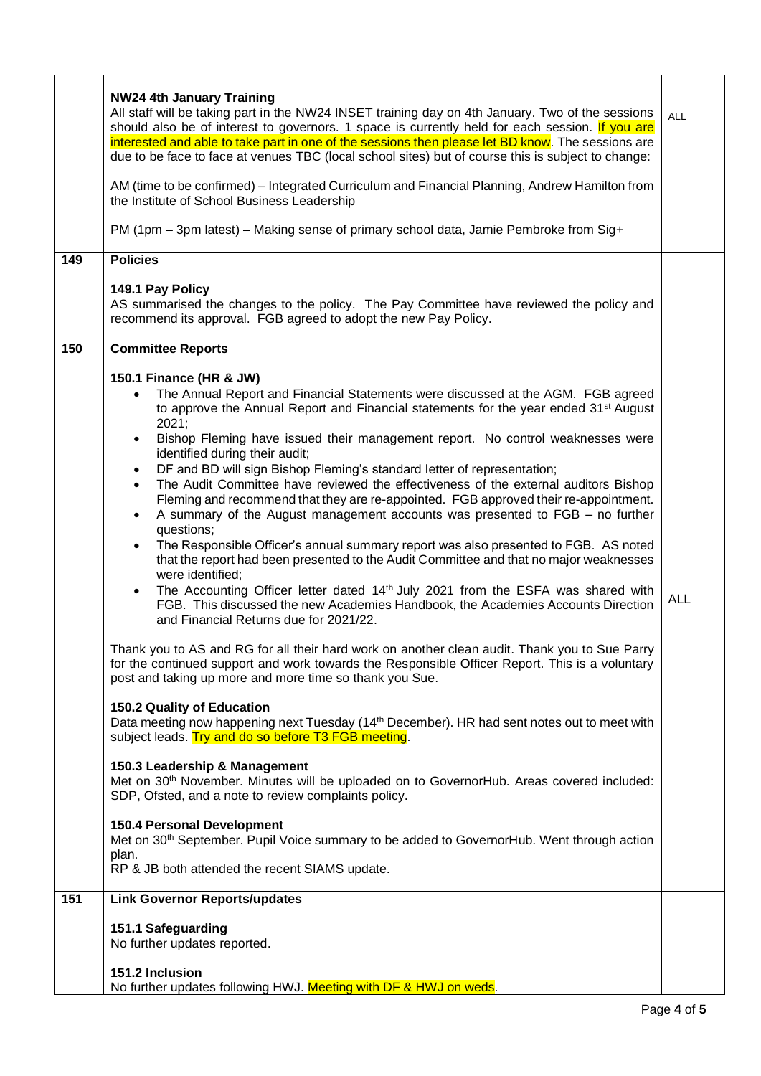|     | <b>NW24 4th January Training</b><br>All staff will be taking part in the NW24 INSET training day on 4th January. Two of the sessions<br>should also be of interest to governors. 1 space is currently held for each session. If you are<br>interested and able to take part in one of the sessions then please let BD know. The sessions are<br>due to be face to face at venues TBC (local school sites) but of course this is subject to change:<br>AM (time to be confirmed) – Integrated Curriculum and Financial Planning, Andrew Hamilton from<br>the Institute of School Business Leadership<br>PM (1pm - 3pm latest) - Making sense of primary school data, Jamie Pembroke from Sig+                                                                                                                                                                                                                                                                                                                                                                                                                                                                                                                                                                                                                                                                                                                                                                            | <b>ALL</b> |
|-----|-------------------------------------------------------------------------------------------------------------------------------------------------------------------------------------------------------------------------------------------------------------------------------------------------------------------------------------------------------------------------------------------------------------------------------------------------------------------------------------------------------------------------------------------------------------------------------------------------------------------------------------------------------------------------------------------------------------------------------------------------------------------------------------------------------------------------------------------------------------------------------------------------------------------------------------------------------------------------------------------------------------------------------------------------------------------------------------------------------------------------------------------------------------------------------------------------------------------------------------------------------------------------------------------------------------------------------------------------------------------------------------------------------------------------------------------------------------------------|------------|
| 149 | <b>Policies</b>                                                                                                                                                                                                                                                                                                                                                                                                                                                                                                                                                                                                                                                                                                                                                                                                                                                                                                                                                                                                                                                                                                                                                                                                                                                                                                                                                                                                                                                         |            |
|     | 149.1 Pay Policy<br>AS summarised the changes to the policy. The Pay Committee have reviewed the policy and<br>recommend its approval. FGB agreed to adopt the new Pay Policy.                                                                                                                                                                                                                                                                                                                                                                                                                                                                                                                                                                                                                                                                                                                                                                                                                                                                                                                                                                                                                                                                                                                                                                                                                                                                                          |            |
| 150 | <b>Committee Reports</b>                                                                                                                                                                                                                                                                                                                                                                                                                                                                                                                                                                                                                                                                                                                                                                                                                                                                                                                                                                                                                                                                                                                                                                                                                                                                                                                                                                                                                                                |            |
|     | 150.1 Finance (HR & JW)<br>The Annual Report and Financial Statements were discussed at the AGM. FGB agreed<br>$\bullet$<br>to approve the Annual Report and Financial statements for the year ended 31 <sup>st</sup> August<br>2021;<br>Bishop Fleming have issued their management report. No control weaknesses were<br>$\bullet$<br>identified during their audit;<br>DF and BD will sign Bishop Fleming's standard letter of representation;<br>$\bullet$<br>The Audit Committee have reviewed the effectiveness of the external auditors Bishop<br>Fleming and recommend that they are re-appointed. FGB approved their re-appointment.<br>A summary of the August management accounts was presented to FGB – no further<br>$\bullet$<br>questions;<br>The Responsible Officer's annual summary report was also presented to FGB. AS noted<br>that the report had been presented to the Audit Committee and that no major weaknesses<br>were identified;<br>The Accounting Officer letter dated 14 <sup>th</sup> July 2021 from the ESFA was shared with<br>$\bullet$<br>FGB. This discussed the new Academies Handbook, the Academies Accounts Direction<br>and Financial Returns due for 2021/22.<br>Thank you to AS and RG for all their hard work on another clean audit. Thank you to Sue Parry<br>for the continued support and work towards the Responsible Officer Report. This is a voluntary<br>post and taking up more and more time so thank you Sue. | <b>ALL</b> |
|     | 150.2 Quality of Education<br>Data meeting now happening next Tuesday (14 <sup>th</sup> December). HR had sent notes out to meet with<br>subject leads. Try and do so before T3 FGB meeting.                                                                                                                                                                                                                                                                                                                                                                                                                                                                                                                                                                                                                                                                                                                                                                                                                                                                                                                                                                                                                                                                                                                                                                                                                                                                            |            |
|     | 150.3 Leadership & Management<br>Met on 30 <sup>th</sup> November. Minutes will be uploaded on to GovernorHub. Areas covered included:<br>SDP, Ofsted, and a note to review complaints policy.                                                                                                                                                                                                                                                                                                                                                                                                                                                                                                                                                                                                                                                                                                                                                                                                                                                                                                                                                                                                                                                                                                                                                                                                                                                                          |            |
|     | <b>150.4 Personal Development</b><br>Met on 30 <sup>th</sup> September. Pupil Voice summary to be added to GovernorHub. Went through action<br>plan.<br>RP & JB both attended the recent SIAMS update.                                                                                                                                                                                                                                                                                                                                                                                                                                                                                                                                                                                                                                                                                                                                                                                                                                                                                                                                                                                                                                                                                                                                                                                                                                                                  |            |
| 151 | <b>Link Governor Reports/updates</b>                                                                                                                                                                                                                                                                                                                                                                                                                                                                                                                                                                                                                                                                                                                                                                                                                                                                                                                                                                                                                                                                                                                                                                                                                                                                                                                                                                                                                                    |            |
|     | 151.1 Safeguarding<br>No further updates reported.<br>151.2 Inclusion<br>No further updates following HWJ. Meeting with DF & HWJ on weds.                                                                                                                                                                                                                                                                                                                                                                                                                                                                                                                                                                                                                                                                                                                                                                                                                                                                                                                                                                                                                                                                                                                                                                                                                                                                                                                               |            |